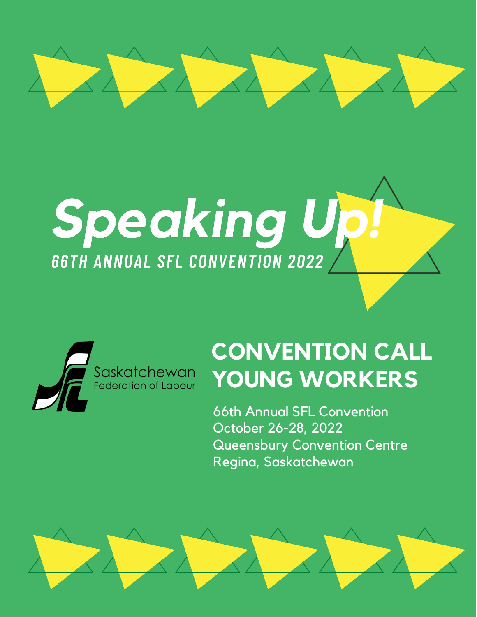

# Speaking Up **66TH ANNUAL SFL CONVENTION 2022**



## **CONVENTION CALL YOUNG WORKERS**

66th Annual SFL Convention October 26-28, 2022 Queensbury Convention Centre Regina, Saskatchewan

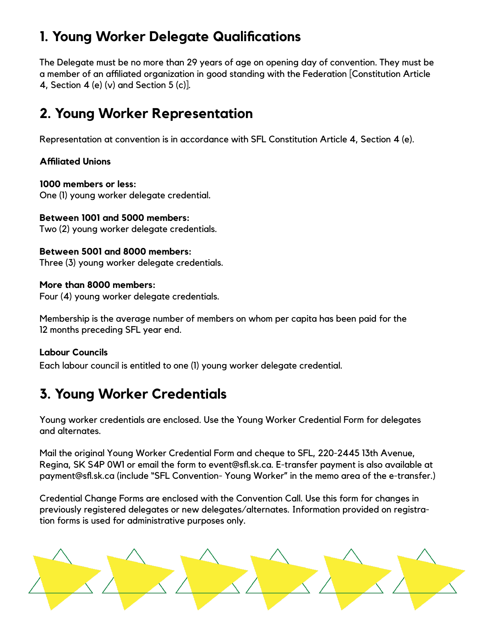## **1. Young Worker Delegate Qualifications**

The Delegate must be no more than 29 years of age on opening day of convention. They must be a member of an affiliated organization in good standing with the Federation [Constitution Article 4, Section 4 (e)  $(v)$  and Section 5  $(c)$ .

## **2. Young Worker Representation**

Representation at convention is in accordance with SFL Constitution Article 4, Section 4 (e).

#### **Affiliated Unions**

#### **1000 members or less:**

One (1) young worker delegate credential.

#### **Between 1001 and 5000 members:**

Two (2) young worker delegate credentials.

#### **Between 5001 and 8000 members:**

Three (3) young worker delegate credentials.

#### **More than 8000 members:**

Four (4) young worker delegate credentials.

Membership is the average number of members on whom per capita has been paid for the 12 months preceding SFL year end.

#### **Labour Councils**

Each labour council is entitled to one (1) young worker delegate credential.

## **3. Young Worker Credentials**

Young worker credentials are enclosed. Use the Young Worker Credential Form for delegates and alternates.

Mail the original Young Worker Credential Form and cheque to SFL, 220-2445 13th Avenue, Regina, SK S4P 0W1 or email the form to event@sfl.sk.ca. E-transfer payment is also available at payment@sfl.sk.ca (include "SFL Convention- Young Worker" in the memo area of the e-transfer.)

Credential Change Forms are enclosed with the Convention Call. Use this form for changes in previously registered delegates or new delegates/alternates. Information provided on registration forms is used for administrative purposes only.